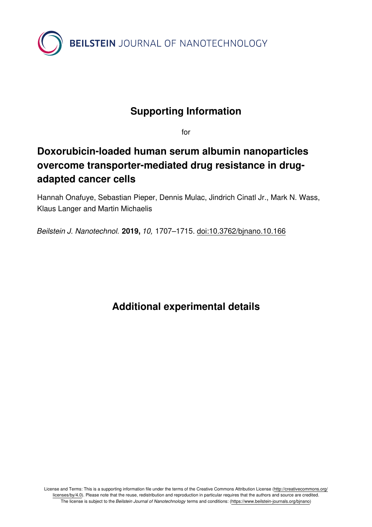

## **Supporting Information**

for

## **Doxorubicin-loaded human serum albumin nanoparticles overcome transporter-mediated drug resistance in drugadapted cancer cells**

Hannah Onafuye, Sebastian Pieper, Dennis Mulac, Jindrich Cinatl Jr., Mark N. Wass, Klaus Langer and Martin Michaelis

*Beilstein J. Nanotechnol.* **2019,** *10,* 1707–1715. [doi:10.3762/bjnano.10.166](https://doi.org/10.3762%2Fbjnano.10.166)

**Additional experimental details**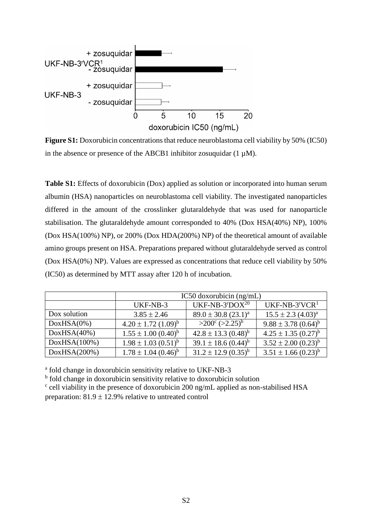

**Figure S1:** Doxorubicin concentrations that reduce neuroblastoma cell viability by 50% (IC50) in the absence or presence of the ABCB1 inhibitor zosuquidar  $(1 \mu M)$ .

**Table S1:** Effects of doxorubicin (Dox) applied as solution or incorporated into human serum albumin (HSA) nanoparticles on neuroblastoma cell viability. The investigated nanoparticles differed in the amount of the crosslinker glutaraldehyde that was used for nanoparticle stabilisation. The glutaraldehyde amount corresponded to 40% (Dox HSA(40%) NP), 100% (Dox HSA(100%) NP), or 200% (Dox HDA(200%) NP) of the theoretical amount of available amino groups present on HSA. Preparations prepared without glutaraldehyde served as control (Dox HSA(0%) NP). Values are expressed as concentrations that reduce cell viability by 50% (IC50) as determined by MTT assay after 120 h of incubation.

|              | IC50 doxorubicin $(ng/mL)$   |                                                 |                                     |  |
|--------------|------------------------------|-------------------------------------------------|-------------------------------------|--|
|              | UKF-NB-3                     | UKF-NB-3 $^{r}$ DOX $^{20}$                     | $UKF-NB-3rVCR1$                     |  |
| Dox solution | $3.85 \pm 2.46$              | $89.0 \pm 30.8$ (23.1) <sup>a</sup>             | $15.5 \pm 2.3$ $(4.03)^a$           |  |
| DoxHSA(0%)   | $4.20 \pm 1.72$ $(1.09)^{b}$ | $>200^{\circ}$ ( $>2.25^{\circ}$ ) <sup>b</sup> | $9.88 \pm 3.78$ $(0.64)^{b}$        |  |
| DoxHSA(40%)  | $1.55 \pm 1.00$ $(0.40)^b$   | $42.8 \pm 13.3 \ (0.48)^b$                      | $4.25 \pm 1.35 \ (0.27)^b$          |  |
| DoxHSA(100%) | $1.98 \pm 1.03$ $(0.51)^{b}$ | $39.1 \pm 18.6$ $(0.44)^{b}$                    | $3.52 \pm 2.00$ $(0.23)^{b}$        |  |
| DoxHSA(200%) | $1.78 \pm 1.04~(0.46)^b$     | $31.2 \pm 12.9$ $(0.35)^{b}$                    | $3.51 \pm 1.66$ (0.23) <sup>b</sup> |  |

<sup>a</sup> fold change in doxorubicin sensitivity relative to UKF-NB-3

<sup>b</sup> fold change in doxorubicin sensitivity relative to doxorubicin solution

<sup>c</sup> cell viability in the presence of doxorubicin 200 ng/mL applied as non-stabilised HSA preparation:  $81.9 \pm 12.9\%$  relative to untreated control